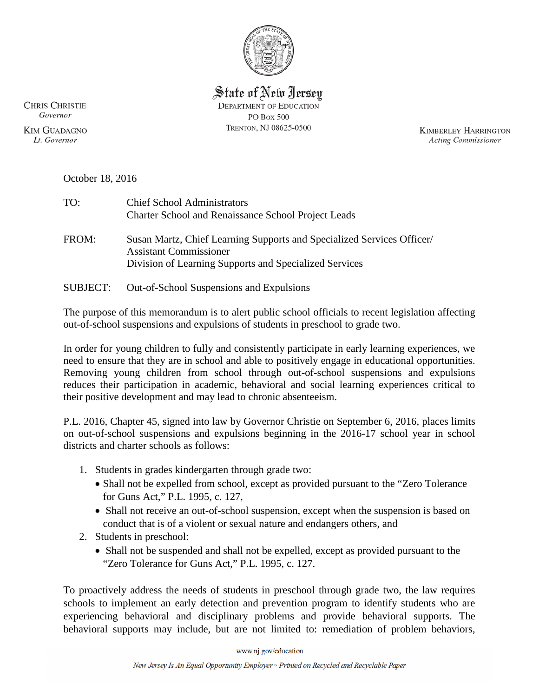

State of New Jersey **DEPARTMENT OF EDUCATION** PO Box 500 TRENTON, NJ 08625-0500

**KIMBERLEY HARRINGTON Acting Commissioner** 

**CHRIS CHRISTIE** Governor

**KIM GUADAGNO** Lt. Governor

| October 18, 2016 |  |
|------------------|--|
|                  |  |

| TO:             | <b>Chief School Administrators</b><br><b>Charter School and Renaissance School Project Leads</b>                                                                  |
|-----------------|-------------------------------------------------------------------------------------------------------------------------------------------------------------------|
| FROM:           | Susan Martz, Chief Learning Supports and Specialized Services Officer/<br><b>Assistant Commissioner</b><br>Division of Learning Supports and Specialized Services |
| <b>SUBJECT:</b> | Out-of-School Suspensions and Expulsions                                                                                                                          |

The purpose of this memorandum is to alert public school officials to recent legislation affecting out-of-school suspensions and expulsions of students in preschool to grade two.

In order for young children to fully and consistently participate in early learning experiences, we need to ensure that they are in school and able to positively engage in educational opportunities. Removing young children from school through out-of-school suspensions and expulsions reduces their participation in academic, behavioral and social learning experiences critical to their positive development and may lead to chronic absenteeism.

P.L. 2016, Chapter 45, signed into law by Governor Christie on September 6, 2016, places limits on out-of-school suspensions and expulsions beginning in the 2016-17 school year in school districts and charter schools as follows:

- 1. Students in grades kindergarten through grade two:
	- Shall not be expelled from school, except as provided pursuant to the "Zero Tolerance for Guns Act," P.L. 1995, c. 127,
	- Shall not receive an out-of-school suspension, except when the suspension is based on conduct that is of a violent or sexual nature and endangers others, and
- 2. Students in preschool:
	- Shall not be suspended and shall not be expelled, except as provided pursuant to the "Zero Tolerance for Guns Act," P.L. 1995, c. 127.

To proactively address the needs of students in preschool through grade two, the law requires schools to implement an early detection and prevention program to identify students who are experiencing behavioral and disciplinary problems and provide behavioral supports. The behavioral supports may include, but are not limited to: remediation of problem behaviors,

www.nj.gov/education